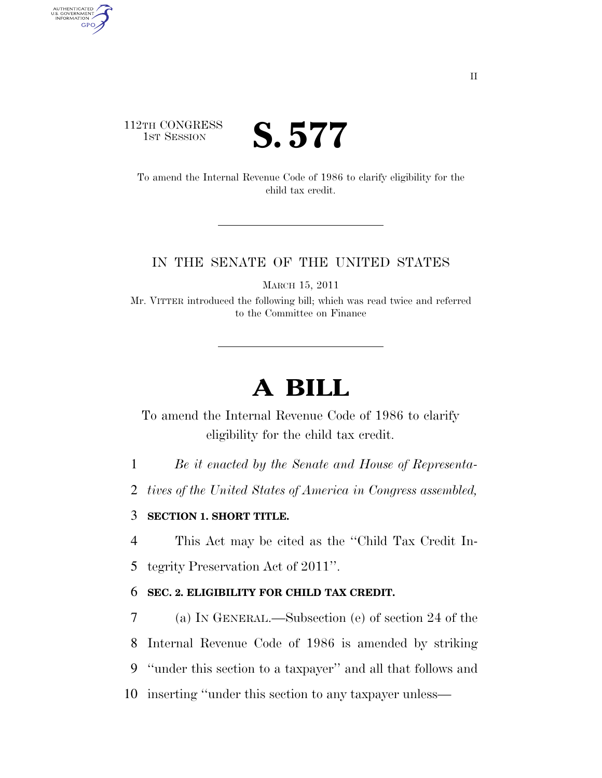## 112TH CONGRESS **1ST SESSION S. 577**

AUTHENTICATED<br>U.S. GOVERNMENT<br>INFORMATION GPO

> To amend the Internal Revenue Code of 1986 to clarify eligibility for the child tax credit.

### IN THE SENATE OF THE UNITED STATES

MARCH 15, 2011

Mr. VITTER introduced the following bill; which was read twice and referred to the Committee on Finance

# **A BILL**

To amend the Internal Revenue Code of 1986 to clarify eligibility for the child tax credit.

1 *Be it enacted by the Senate and House of Representa-*

2 *tives of the United States of America in Congress assembled,* 

### 3 **SECTION 1. SHORT TITLE.**

4 This Act may be cited as the ''Child Tax Credit In-

5 tegrity Preservation Act of 2011''.

#### 6 **SEC. 2. ELIGIBILITY FOR CHILD TAX CREDIT.**

 (a) IN GENERAL.—Subsection (e) of section 24 of the Internal Revenue Code of 1986 is amended by striking ''under this section to a taxpayer'' and all that follows and inserting ''under this section to any taxpayer unless